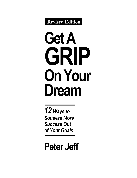**Revised Edition**

# **Get A GRIP On Your Dream**

*12 Ways to Squeeze More Success Out of Your Goals*

**Peter Jeff**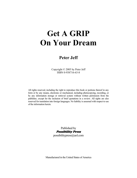## **Get A GRIP On Your Dream**

### **Peter Jeff**

Copyright © 2005 by Peter Jeff ISBN 0-938716-63-8

All rights reserved, including the right to reproduce this book or portions thereof in any form or by any means, electronic or mechanical, including photocopying, recording, or by any information storage or retrieval system without written permission from the publisher, except for the inclusion of brief quotations in a review. All rights are also reserved for translation into foreign languages. No liability is assumed with respect to use of the information herein.

> Published by Possibility Press possibilitypress@aol.com

Manufactured in the United States of America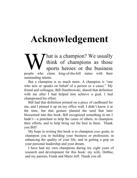## **Acknowledgement**

That is a champion? We usually think of champions as those sports heroes or the business We usually<br>think of champions as those<br>sports heroes or the business<br>people who claim king-of-the-hill status with their outstanding talents.

 But a champion is so much more. A champion is "one who acts or speaks on behalf of a person or a cause." My friend and colleague, Bill Dombrowski, shared that definition with me after I had helped him achieve a goal. I had championed his effort.

 Bill had that definition printed on a piece of cardboard for me, and I pinned it up on my office wall. I didn't know it at the time, but that gesture planted the seed that later blossomed into this book. Bill recognized something in me I hadn't—a penchant to help the cause of others, to champion their efforts, and to help bring out the best in them. Thank you Bill!

My hope in writing this book is to champion *your* goals; to champion you in building your business or profession; in enhancing the quality of your life; and in getting a grip on your personal leadership and your dream.

I have had my own champions during my eight years of research and development for this book: my wife, Debbie, and my parents, Frank and Marie Jeff. Thank you all.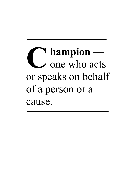**hampion** one who acts or speaks on behalf of a person or a cause.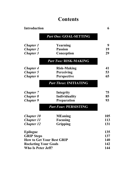### **Contents**

| <b>Introduction</b>              |                               | 6   |
|----------------------------------|-------------------------------|-----|
|                                  | <b>Part One: GOAL-SETTING</b> |     |
| <b>Chapter 1</b>                 | Yearning                      | 9   |
| <b>Chapter 2</b>                 | <b>Passion</b>                | 19  |
| <b>Chapter 3</b>                 | Conception                    | 29  |
|                                  | <b>Part Two: RISK-MAKING</b>  |     |
| <b>Chapter 4</b>                 | <b>Risk-Making</b>            | 41  |
| <b>Chapter 5</b>                 | Perceiving                    | 53  |
| <b>Chapter 6</b>                 | Perspective                   | 65  |
|                                  | <b>Part Three: INITIATING</b> |     |
| <b>Chapter</b> 7                 | <b>Integrity</b>              | 75  |
| <b>Chapter 8</b>                 | <b>Individuality</b>          | 85  |
| <b>Chapter 9</b>                 | <b>Preparation</b>            | 93  |
|                                  | <b>Part Four: PERSISTING</b>  |     |
| <b>Chapter 10</b>                | <b>MEaning</b>                | 105 |
| <b>Chapter 11</b>                | <b>Focusing</b>               | 113 |
| <b>Chapter 12</b>                | <b>Gripping</b>               | 131 |
| <b>Epilogue</b>                  |                               | 135 |
| <b>GRIP</b> Steps                |                               | 137 |
| <b>How to Get Your Best GRIP</b> |                               | 140 |
| <b>Rocketing Your Goals</b>      |                               | 142 |
| Who Is Peter Jeff?               |                               | 144 |
|                                  |                               |     |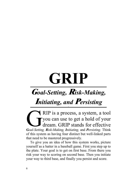# **GRIP**

### **G***oal-Setting,* **R***isk-Making,*

### **I***nitiating, and* **P***ersisting* 0

RIP is a process, a system, a tool you can use to get a hold of your dream. GRIP stands for effective *Goal-Setting, Risk-Making, Initiating,* and *Persisting*. Think G of this system as having four distinct but well-linked parts that need to be mastered progressively.

To give you an idea of how this system works, picture yourself as a batter in a baseball game. First you step up to the plate. Your goal is to get on first base. From there you risk your way to scoring on second base. Then you initiate your way to third base, and finally you persist and score.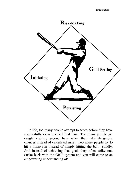

In life, too many people attempt to score before they have successfully even reached first base. Too many people get caught stealing second base when they take dangerous chances instead of calculated risks. Too many people try to hit a home run instead of simply hitting the ball—solidly. And instead of achieving that goal, they often strike out. Strike back with the GRIP system and you will come to an empowering understanding of: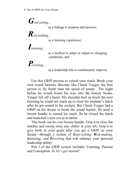*Goal-setting…*

as a linkage to purpose and passion;

*Risk-making…* 

as a learning experience;

*Initiating…*

 as a method to adapt or adjust to changing conditions; and

*Persisting…*

as a leadership role to continuously improve.

Use this GRIP process to extend your reach. Break your own sound barriers. Become like Chuck Yeager, the first person to fly faster than the speed of sound. The night before he would boom his way into the history books, Yeager fell off a horse. His shoulder hurt so much the next morning he could not reach up to close his airplane's hatch after he got seated in the cockpit. But Chuck Yeager had a GRIP on his dream to break the sound barrier. He used a broom handle to extend his reach. So he closed the hatch and launched a new era in aviation.

This book can be *your* broom handle. Grip it to close the hatches and sweep away any clutter in your life. Grip it to give birth to your goals after you get a GRIP on your dream—through a system of *Goal-setting, Risk-making, Initiating, and Persisting* that will enhance your personal leadership ability.

Part I of the GRIP system includes Yearning, Passion and Conception. *So let's get started!*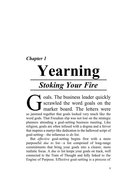### *Chapter 1*

# **Yearning**  *Stoking Your Fire*

oals. The business leader quickly scrawled the word goals on the marker board. The letters were oals. The business leader quickly scrawled the word goals on the marker board. The letters were so jammed together that goals looked very much like the word gods. That Freudian slip was not lost on the strategic planners attending a goal-setting business meeting. Like religion, goals are often infused with a dogma and a fervor that inspires a martyr-like dedication to the hallowed script of goal-setting—the infamous *to do* list.

But *effective* goal-setting begins first with a more purposeful *due to* list—a list comprised of long-range commitments that bring your goals into a clearer, more realistic focus. A *due to* list keeps your goals on track, well connected to the Train of Thought and fully linked to the Engine of Purpose. Effective goal-setting is a process of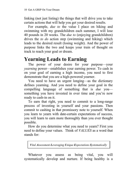linking (not just listing) the things that will drive you to take certain actions that will help you get your desired results.

For example, *due to* the value I place on hiking and swimming with my grandchildren each summer, I will lose 40 pounds in 20 weeks. The *due to* (enjoying grandchildren) drives the *to do* action step (swimming and hiking) which leads to the desired result (losing weight). And the power of purpose links the two and keeps your train of thought on track to reach your goal or dream.

### **Yearning Leads to Earning**

The power of your desire for your purpose—your *yearning* power—establishes your earning power. To cash in on your goal of earning a high income, you need to first demonstrate that you are a high-powered yearner.

You need to have an urgent longing—as the dictionary defines yearning. And you need to define your goal in the compelling language of something that is *due* you something you have invested in over time and you're now ready to cash-in on it.

To earn that right, you need to commit to a long-range process of investing in yourself and your passions. Then commit to cashing in that promissory note to yourself. When you learn to yearn with date-certain expectations of success, you will learn to earn more thoroughly than you ever thought possible.

How do you determine what you need to yearn? First you need to define your values. Think of *VALUES* as a word that stands for:

*Vital Assessment Leveraging Unique Expectations Systematically* 

Whatever you assess as being vital, you will systematically develop and nurture. If being healthy is a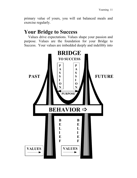primary value of yours, you will eat balanced meals and exercise regularly.

### **Your Bridge to Success**

Values drive expectations. Values shape your passion and purpose. Values are the foundation for your Bridge to Success. Your values are imbedded deeply and indelibly into

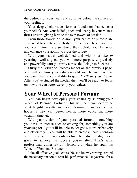the bedrock of your heart and soul, far below the surface of your feelings.

Your deeply-held values form a foundation that cements your beliefs. And your beliefs, anchored deeply in your values, thrust upward giving birth to the twin towers of passion.

From those towers of passion, your cables of purpose are suspended to create your Bridge to Success. These cables of your commitment are so strong they uphold your behavior and enhance your ability to cross the bridge.

With your values well-defined and with your *due to* yearnings well-aligned, you will more purposely, precisely and powerfully earn your way across the Bridge to Success.

Study the Bridge to Success model on the previous page. You will see how your values uphold your behavior so that you can enhance your ability to *get a GRIP on your dream.* After you've studied the model, then you'll be ready to focus on how you can better develop your values.

### **Your Wheel of Personal Fortune**

You can begin developing your values by spinning your Wheel of Personal Fortune. This will help you determine what tangible results you yearn for—more money, a new house, a new car, better health, more education, more vacation time, etc.

With your vision of your personal fortune—something you have an intense need or craving for, something you are *yearning* for—you will be able to set goals more effectively and efficiently. You will be able to create a healthy tension within yourself to not only define, but also to align your goals to achieve the success you're after. That's what professional golfer Byron Nelson did when he spun his Wheel of Personal Fortune.

Like all effective goal-setters, Nelson knew yearning created the necessary tension to spur his performance. He yearned for a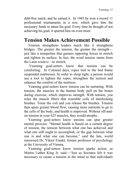debt-free ranch, and he earned it. In 1945 he won a record 11 professional tournaments in a row, which gave him the necessary funds to attain his goal. Every time he thought of not achieving his goal, it spurred him on even more.

### **Tension Makes Achievement Possible**

Tension strengthens leaders much like it strengthens bridges. The greater the tension, the greater the strength just like a trampoline that garners opposing forces to stretch and tighten its surface. In fact, the word tension stems from the Latin *tendere*—to stretch.

 Yearning goal-setters know that tension can be comforting. In Colonial days, ropes tied to the bed frame suspended mattresses. In order to sleep tight, a person would use a tool to tighten the ropes, strengthen the tension and enhance the comfort of the mattress.

Yearning goal-setters know tension can be nurturing. With tension, the muscles in the human body pull on the bones during exercise, which improves strength. With tension, you relax the muscle fibers that resemble coils of interlocking brushes. Tense the coil and you release the brushes. Tension then spurs greater blood flow, causing more nutrients to go to the cells of the body, and health is improved. Without off-andon tension in your 625 muscles, they would atrophy.

Yearning goal-setters know tension can spur greater mental prowess. "Mental health is based on a certain degree of tension, the tension between what one has achieved and what one still ought to accomplish, or the gap between what one is and what one can become," said the late, world renowned Dr. Viktor Frankl, former professor of psychology at the University of Vienna.

Yearning goal-setters know tension sparks action, as Martin Luther King Jr. said—"Just as Socrates felt it was necessary to create a tension in the mind so that individuals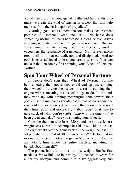would rise from the bondage of myths and half truths... so must we create the kind of tension in society that will help men rise from the dark depths of prejudice."

Yearning goal-setters know tension makes achievement possible. As someone wise once said, "No horse does something useful until he is harnessed. No engine ever drives anything until its power is put against a resistance. Niagara Falls cannot turn its falling water into electricity until it encounters the resistance of a generator. No life ever grows great until it is focused, dedicated and disciplined." And no goal is ever achieved unless you create tension. You can unleash that tension by first spinning your Wheel of Personal Fortune.

### **Spin Your Wheel of Personal Fortune**

If people don't spin their Wheel of Personal Fortune before setting their goals, they could end up just spinning their wheels—burying themselves in a rut or gunning their engine with a meaningless list of things to do. In the end, they wind up with nothing meaningful done toward their goals, just the mundane everyday tasks that perhaps someone else could do, or worse yet, with something done that wasted their time, effort and money. How about you? Is it time to take stock of what you're *really doing* with the time you've been given each day? Are you spinning your wheels?

Consider the man who loses 250 pounds in six weeks at a weight loss clinic. He accomplishes his task—his to do list. But eight weeks later he gains back all the weight he lost *plus* 50 pounds, for a total of 300 pounds. Why? "He focused on too narrow a goal," notes the patient's physician, "Now we are helping him review his entire lifestyle, including his beliefs about himself"

The patient had a to do list—to lose weight. But he first needed a *due to* link—to be healthy. He needed to yearn for a healthy lifestyle and commit to it by aggressively and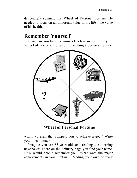deliberately spinning his Wheel of Personal Fortune. He needed to focus on an important value in his life—the value of his health.

### **Remember Yourself**

How can you become more effective in spinning your Wheel of Personal Fortune, in creating a personal tension



**Wheel of Personal Fortune** 

within yourself that compels you to achieve a goal? Write your own obituary!

Imagine you are 85-years-old, and reading the morning newspaper. There on the obituary page you find your name. How would people remember you? What were the major achievements in your lifetime? Reading your own obituary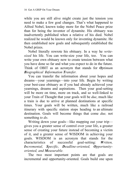while you are still alive might create just the tension you need to make a few goal changes. That's what happened to Alfred Nobel, known today more for the Nobel Peace prize than for being the inventor of dynamite. His obituary was inadvertently published when a relative of his died. Nobel realized he would be known only for inventing dynamite. He then established new goals and subsequently established the Nobel prizes.

Nobel literally rewrote his obituary. In a way he *writesized* his life. You can write-size your life, too. You can write your own obituary now to create tension between what you have done so far and what you expect to do in the future. Think of OBIT as an acronym that stands for *Optimum Biographical Information Transfer.* 

You can transfer the information about your hopes and dreams—your yearnings—into your life. Begin by writing your best-case obituary as if you had already achieved your yearnings, dreams and aspirations. Then your goal-setting will be more on time, more on track, and so well-linked to your Train of Thought that your goals will be *due*, much like a train is due to arrive at planned destinations at specific times. Your goals will be written, much like a railroad itinerary with specific station stops heading to an ultimate destination. Goals will become things that come *due,* not something *to do*.

Writing down your goals—like mapping out your trip gives you a greater sense of control over your life, a greater sense of creating your future instead of becoming a victim of it, and a greater sense of WISDOM in achieving your goals. WISDOM is an acronym that stands for the characteristics of successful goal-setting: *Written, Incremental, Specific, Deadline-oriented, Opportunityoriented, and Measurable.* 

The two most important points are that goals are incremental and opportunity-oriented. Goals build one upon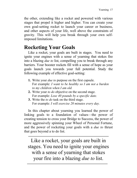the other, extending like a rocket and powered with various stages that propel it higher and higher. You can create your own goal-setting rocket to launch your career or business, and other aspects of your life, well above the constraints of gravity. This will help you break through your own selfimposed limitations.

### **Rocketing Your Goals**

Like a rocket, your goals are built in stages. You need to ignite your engines with a sense of yearning that stokes fire into a blazing *due to* list, compelling you to break through any barriers. Your booster rockets fill with a sense of hope as your goals launch you towards your full potential. Study the following example of effective goal-setting:

- **1.** Write your *due to* purpose on the first capsule. For example: *I want to be healthy so I am not a burden to my children when I am old.*
- **2.** Write your *to do* objective on the second stage. For example: *Lose 40 pounds by a specific date.*
- **3.** Write the *to do* task on the third stage. For example: *I will exercise 20 minutes every day.*

In this chapter about yearning you learned the power of linking goals to a foundation of values—the power of creating tension to cross your Bridge to Success, the power of more aggressively spinning your Wheel of Personal Fortune, and the power of rocketing your goals with a *due to* thrust that goes beyond a to do list.

Like a rocket, your goals are built in stages. You need to ignite your engines with a sense of yearning that stokes your fire into a blazing *due to* list.